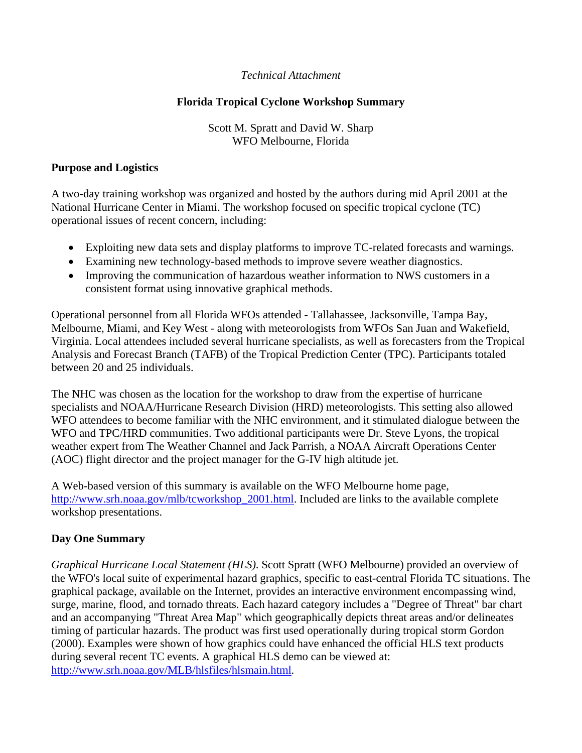#### *Technical Attachment*

# **Florida Tropical Cyclone Workshop Summary**

Scott M. Spratt and David W. Sharp WFO Melbourne, Florida

#### **Purpose and Logistics**

A two-day training workshop was organized and hosted by the authors during mid April 2001 at the National Hurricane Center in Miami. The workshop focused on specific tropical cyclone (TC) operational issues of recent concern, including:

- Exploiting new data sets and display platforms to improve TC-related forecasts and warnings.
- Examining new technology-based methods to improve severe weather diagnostics.
- Improving the communication of hazardous weather information to NWS customers in a consistent format using innovative graphical methods.

Operational personnel from all Florida WFOs attended - Tallahassee, Jacksonville, Tampa Bay, Melbourne, Miami, and Key West - along with meteorologists from WFOs San Juan and Wakefield, Virginia. Local attendees included several hurricane specialists, as well as forecasters from the Tropical Analysis and Forecast Branch (TAFB) of the Tropical Prediction Center (TPC). Participants totaled between 20 and 25 individuals.

The NHC was chosen as the location for the workshop to draw from the expertise of hurricane specialists and NOAA/Hurricane Research Division (HRD) meteorologists. This setting also allowed WFO attendees to become familiar with the NHC environment, and it stimulated dialogue between the WFO and TPC/HRD communities. Two additional participants were Dr. Steve Lyons, the tropical weather expert from The Weather Channel and Jack Parrish, a NOAA Aircraft Operations Center (AOC) flight director and the project manager for the G-IV high altitude jet.

A Web-based version of this summary is available on the WFO Melbourne home page, http://www.srh.noaa.gov/mlb/tcworkshop\_2001.html. Included are links to the available complete workshop presentations.

## **Day One Summary**

*Graphical Hurricane Local Statement (HLS)*. Scott Spratt (WFO Melbourne) provided an overview of the WFO's local suite of experimental hazard graphics, specific to east-central Florida TC situations. The graphical package, available on the Internet, provides an interactive environment encompassing wind, surge, marine, flood, and tornado threats. Each hazard category includes a "Degree of Threat" bar chart and an accompanying "Threat Area Map" which geographically depicts threat areas and/or delineates timing of particular hazards. The product was first used operationally during tropical storm Gordon (2000). Examples were shown of how graphics could have enhanced the official HLS text products during several recent TC events. A graphical HLS demo can be viewed at: http://www.srh.noaa.gov/MLB/hlsfiles/hlsmain.html.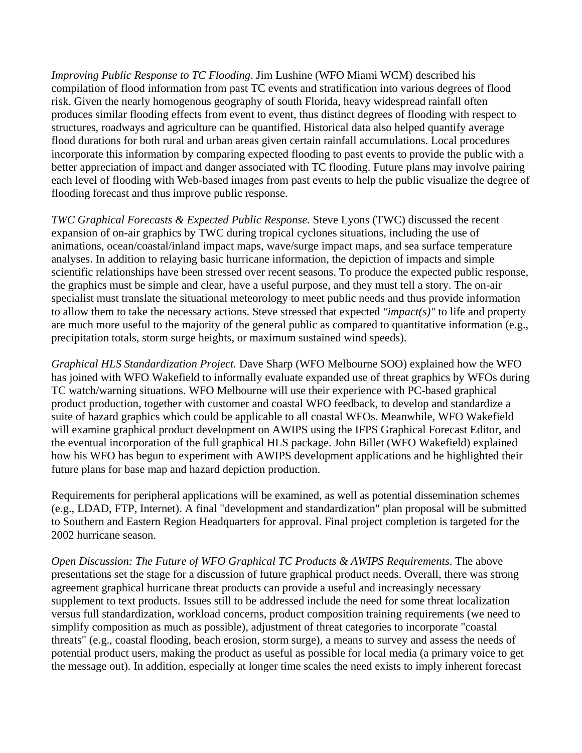*Improving Public Response to TC Flooding*. Jim Lushine (WFO Miami WCM) described his compilation of flood information from past TC events and stratification into various degrees of flood risk. Given the nearly homogenous geography of south Florida, heavy widespread rainfall often produces similar flooding effects from event to event, thus distinct degrees of flooding with respect to structures, roadways and agriculture can be quantified. Historical data also helped quantify average flood durations for both rural and urban areas given certain rainfall accumulations. Local procedures incorporate this information by comparing expected flooding to past events to provide the public with a better appreciation of impact and danger associated with TC flooding. Future plans may involve pairing each level of flooding with Web-based images from past events to help the public visualize the degree of flooding forecast and thus improve public response.

*TWC Graphical Forecasts & Expected Public Response.* Steve Lyons (TWC) discussed the recent expansion of on-air graphics by TWC during tropical cyclones situations, including the use of animations, ocean/coastal/inland impact maps, wave/surge impact maps, and sea surface temperature analyses. In addition to relaying basic hurricane information, the depiction of impacts and simple scientific relationships have been stressed over recent seasons. To produce the expected public response, the graphics must be simple and clear, have a useful purpose, and they must tell a story. The on-air specialist must translate the situational meteorology to meet public needs and thus provide information to allow them to take the necessary actions. Steve stressed that expected *"impact(s)"* to life and property are much more useful to the majority of the general public as compared to quantitative information (e.g., precipitation totals, storm surge heights, or maximum sustained wind speeds).

*Graphical HLS Standardization Project.* Dave Sharp (WFO Melbourne SOO) explained how the WFO has joined with WFO Wakefield to informally evaluate expanded use of threat graphics by WFOs during TC watch/warning situations. WFO Melbourne will use their experience with PC-based graphical product production, together with customer and coastal WFO feedback, to develop and standardize a suite of hazard graphics which could be applicable to all coastal WFOs. Meanwhile, WFO Wakefield will examine graphical product development on AWIPS using the IFPS Graphical Forecast Editor, and the eventual incorporation of the full graphical HLS package. John Billet (WFO Wakefield) explained how his WFO has begun to experiment with AWIPS development applications and he highlighted their future plans for base map and hazard depiction production.

Requirements for peripheral applications will be examined, as well as potential dissemination schemes (e.g., LDAD, FTP, Internet). A final "development and standardization" plan proposal will be submitted to Southern and Eastern Region Headquarters for approval. Final project completion is targeted for the 2002 hurricane season.

*Open Discussion: The Future of WFO Graphical TC Products & AWIPS Requirements*. The above presentations set the stage for a discussion of future graphical product needs. Overall, there was strong agreement graphical hurricane threat products can provide a useful and increasingly necessary supplement to text products. Issues still to be addressed include the need for some threat localization versus full standardization, workload concerns, product composition training requirements (we need to simplify composition as much as possible), adjustment of threat categories to incorporate "coastal threats" (e.g., coastal flooding, beach erosion, storm surge), a means to survey and assess the needs of potential product users, making the product as useful as possible for local media (a primary voice to get the message out). In addition, especially at longer time scales the need exists to imply inherent forecast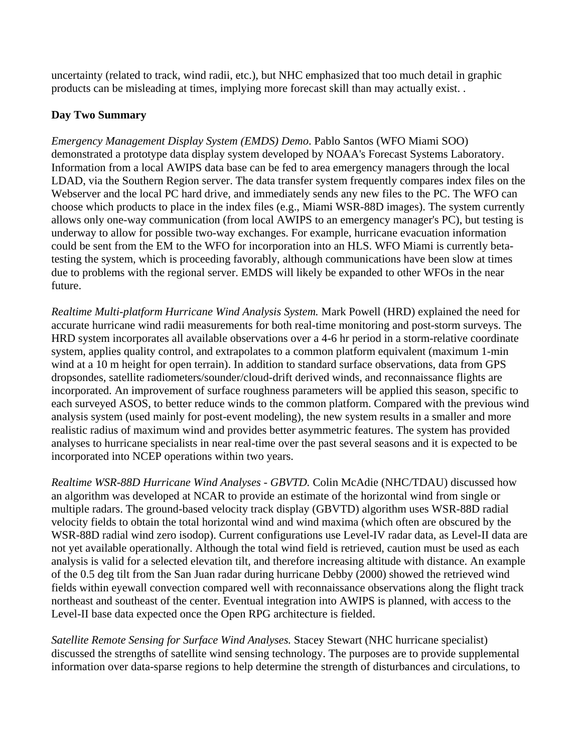uncertainty (related to track, wind radii, etc.), but NHC emphasized that too much detail in graphic products can be misleading at times, implying more forecast skill than may actually exist. .

# **Day Two Summary**

*Emergency Management Display System (EMDS) Demo*. Pablo Santos (WFO Miami SOO) demonstrated a prototype data display system developed by NOAA's Forecast Systems Laboratory. Information from a local AWIPS data base can be fed to area emergency managers through the local LDAD, via the Southern Region server. The data transfer system frequently compares index files on the Webserver and the local PC hard drive, and immediately sends any new files to the PC. The WFO can choose which products to place in the index files (e.g., Miami WSR-88D images). The system currently allows only one-way communication (from local AWIPS to an emergency manager's PC), but testing is underway to allow for possible two-way exchanges. For example, hurricane evacuation information could be sent from the EM to the WFO for incorporation into an HLS. WFO Miami is currently betatesting the system, which is proceeding favorably, although communications have been slow at times due to problems with the regional server. EMDS will likely be expanded to other WFOs in the near future.

*Realtime Multi-platform Hurricane Wind Analysis System.* Mark Powell (HRD) explained the need for accurate hurricane wind radii measurements for both real-time monitoring and post-storm surveys. The HRD system incorporates all available observations over a 4-6 hr period in a storm-relative coordinate system, applies quality control, and extrapolates to a common platform equivalent (maximum 1-min wind at a 10 m height for open terrain). In addition to standard surface observations, data from GPS dropsondes, satellite radiometers/sounder/cloud-drift derived winds, and reconnaissance flights are incorporated. An improvement of surface roughness parameters will be applied this season, specific to each surveyed ASOS, to better reduce winds to the common platform. Compared with the previous wind analysis system (used mainly for post-event modeling), the new system results in a smaller and more realistic radius of maximum wind and provides better asymmetric features. The system has provided analyses to hurricane specialists in near real-time over the past several seasons and it is expected to be incorporated into NCEP operations within two years.

*Realtime WSR-88D Hurricane Wind Analyses - GBVTD.* Colin McAdie (NHC/TDAU) discussed how an algorithm was developed at NCAR to provide an estimate of the horizontal wind from single or multiple radars. The ground-based velocity track display (GBVTD) algorithm uses WSR-88D radial velocity fields to obtain the total horizontal wind and wind maxima (which often are obscured by the WSR-88D radial wind zero isodop). Current configurations use Level-IV radar data, as Level-II data are not yet available operationally. Although the total wind field is retrieved, caution must be used as each analysis is valid for a selected elevation tilt, and therefore increasing altitude with distance. An example of the 0.5 deg tilt from the San Juan radar during hurricane Debby (2000) showed the retrieved wind fields within eyewall convection compared well with reconnaissance observations along the flight track northeast and southeast of the center. Eventual integration into AWIPS is planned, with access to the Level-II base data expected once the Open RPG architecture is fielded.

*Satellite Remote Sensing for Surface Wind Analyses.* Stacey Stewart (NHC hurricane specialist) discussed the strengths of satellite wind sensing technology. The purposes are to provide supplemental information over data-sparse regions to help determine the strength of disturbances and circulations, to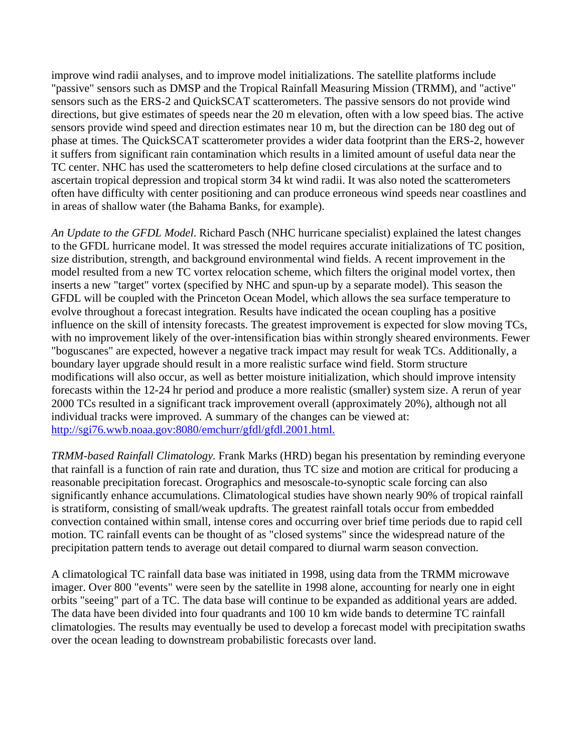improve wind radii analyses, and to improve model initializations. The satellite platforms include "passive" sensors such as DMSP and the Tropical Rainfall Measuring Mission (TRMM), and "active" sensors such as the ERS-2 and QuickSCAT scatterometers. The passive sensors do not provide wind directions, but give estimates of speeds near the 20 m elevation, often with a low speed bias. The active sensors provide wind speed and direction estimates near 10 m, but the direction can be 180 deg out of phase at times. The QuickSCAT scatterometer provides a wider data footprint than the ERS-2, however it suffers from significant rain contamination which results in a limited amount of useful data near the TC center. NHC has used the scatterometers to help define closed circulations at the surface and to ascertain tropical depression and tropical storm 34 kt wind radii. It was also noted the scatterometers often have difficulty with center positioning and can produce erroneous wind speeds near coastlines and in areas of shallow water (the Bahama Banks, for example).

*An Update to the GFDL Model*. Richard Pasch (NHC hurricane specialist) explained the latest changes to the GFDL hurricane model. It was stressed the model requires accurate initializations of TC position, size distribution, strength, and background environmental wind fields. A recent improvement in the model resulted from a new TC vortex relocation scheme, which filters the original model vortex, then inserts a new "target" vortex (specified by NHC and spun-up by a separate model). This season the GFDL will be coupled with the Princeton Ocean Model, which allows the sea surface temperature to evolve throughout a forecast integration. Results have indicated the ocean coupling has a positive influence on the skill of intensity forecasts. The greatest improvement is expected for slow moving TCs, with no improvement likely of the over-intensification bias within strongly sheared environments. Fewer "boguscanes" are expected, however a negative track impact may result for weak TCs. Additionally, a boundary layer upgrade should result in a more realistic surface wind field. Storm structure modifications will also occur, as well as better moisture initialization, which should improve intensity forecasts within the 12-24 hr period and produce a more realistic (smaller) system size. A rerun of year 2000 TCs resulted in a significant track improvement overall (approximately 20%), although not all individual tracks were improved. A summary of the changes can be viewed at: http://sgi76.wwb.noaa.gov:8080/emchurr/gfdl/gfdl.2001.html.

*TRMM-based Rainfall Climatology.* Frank Marks (HRD) began his presentation by reminding everyone that rainfall is a function of rain rate and duration, thus TC size and motion are critical for producing a reasonable precipitation forecast. Orographics and mesoscale-to-synoptic scale forcing can also significantly enhance accumulations. Climatological studies have shown nearly 90% of tropical rainfall is stratiform, consisting of small/weak updrafts. The greatest rainfall totals occur from embedded convection contained within small, intense cores and occurring over brief time periods due to rapid cell motion. TC rainfall events can be thought of as "closed systems" since the widespread nature of the precipitation pattern tends to average out detail compared to diurnal warm season convection.

A climatological TC rainfall data base was initiated in 1998, using data from the TRMM microwave imager. Over 800 "events" were seen by the satellite in 1998 alone, accounting for nearly one in eight orbits "seeing" part of a TC. The data base will continue to be expanded as additional years are added. The data have been divided into four quadrants and 100 10 km wide bands to determine TC rainfall climatologies. The results may eventually be used to develop a forecast model with precipitation swaths over the ocean leading to downstream probabilistic forecasts over land.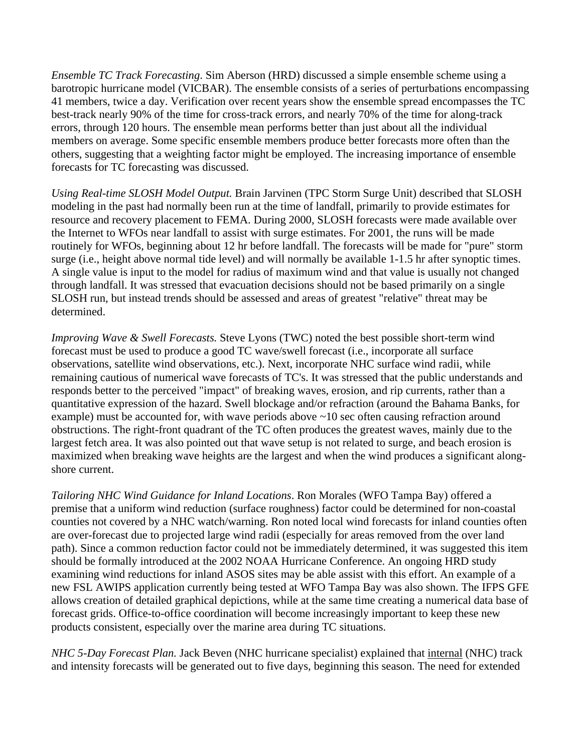*Ensemble TC Track Forecasting*. Sim Aberson (HRD) discussed a simple ensemble scheme using a barotropic hurricane model (VICBAR). The ensemble consists of a series of perturbations encompassing 41 members, twice a day. Verification over recent years show the ensemble spread encompasses the TC best-track nearly 90% of the time for cross-track errors, and nearly 70% of the time for along-track errors, through 120 hours. The ensemble mean performs better than just about all the individual members on average. Some specific ensemble members produce better forecasts more often than the others, suggesting that a weighting factor might be employed. The increasing importance of ensemble forecasts for TC forecasting was discussed.

*Using Real-time SLOSH Model Output.* Brain Jarvinen (TPC Storm Surge Unit) described that SLOSH modeling in the past had normally been run at the time of landfall, primarily to provide estimates for resource and recovery placement to FEMA. During 2000, SLOSH forecasts were made available over the Internet to WFOs near landfall to assist with surge estimates. For 2001, the runs will be made routinely for WFOs, beginning about 12 hr before landfall. The forecasts will be made for "pure" storm surge (i.e., height above normal tide level) and will normally be available 1-1.5 hr after synoptic times. A single value is input to the model for radius of maximum wind and that value is usually not changed through landfall. It was stressed that evacuation decisions should not be based primarily on a single SLOSH run, but instead trends should be assessed and areas of greatest "relative" threat may be determined.

*Improving Wave & Swell Forecasts.* Steve Lyons (TWC) noted the best possible short-term wind forecast must be used to produce a good TC wave/swell forecast (i.e., incorporate all surface observations, satellite wind observations, etc.). Next, incorporate NHC surface wind radii, while remaining cautious of numerical wave forecasts of TC's. It was stressed that the public understands and responds better to the perceived "impact" of breaking waves, erosion, and rip currents, rather than a quantitative expression of the hazard. Swell blockage and/or refraction (around the Bahama Banks, for example) must be accounted for, with wave periods above ~10 sec often causing refraction around obstructions. The right-front quadrant of the TC often produces the greatest waves, mainly due to the largest fetch area. It was also pointed out that wave setup is not related to surge, and beach erosion is maximized when breaking wave heights are the largest and when the wind produces a significant alongshore current.

*Tailoring NHC Wind Guidance for Inland Locations*. Ron Morales (WFO Tampa Bay) offered a premise that a uniform wind reduction (surface roughness) factor could be determined for non-coastal counties not covered by a NHC watch/warning. Ron noted local wind forecasts for inland counties often are over-forecast due to projected large wind radii (especially for areas removed from the over land path). Since a common reduction factor could not be immediately determined, it was suggested this item should be formally introduced at the 2002 NOAA Hurricane Conference. An ongoing HRD study examining wind reductions for inland ASOS sites may be able assist with this effort. An example of a new FSL AWIPS application currently being tested at WFO Tampa Bay was also shown. The IFPS GFE allows creation of detailed graphical depictions, while at the same time creating a numerical data base of forecast grids. Office-to-office coordination will become increasingly important to keep these new products consistent, especially over the marine area during TC situations.

*NHC 5-Day Forecast Plan.* Jack Beven (NHC hurricane specialist) explained that internal (NHC) track and intensity forecasts will be generated out to five days, beginning this season. The need for extended